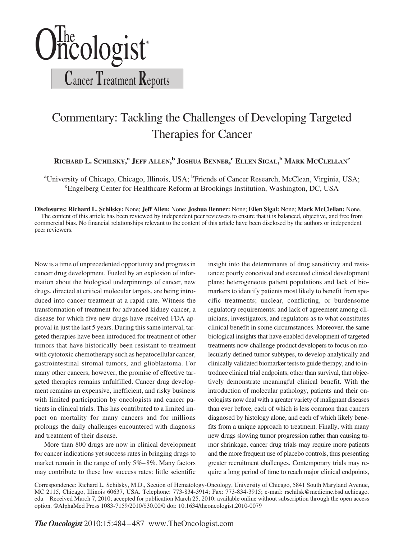

## Commentary: Tackling the Challenges of Developing Targeted Therapies for Cancer

**RICHARD L. SCHILSKY, <sup>a</sup> JEFF ALLEN, <sup>b</sup> JOSHUA BENNER, <sup>c</sup> ELLEN SIGAL, <sup>b</sup> MARK MCCLELLANc**

<sup>a</sup>University of Chicago, Chicago, Illinois, USA; <sup>b</sup>Friends of Cancer Research, McClean, Virginia, USA; c Engelberg Center for Healthcare Reform at Brookings Institution, Washington, DC, USA

**Disclosures: Richard L. Schilsky:** None; **Jeff Allen:** None; **Joshua Benner:** None; **Ellen Sigal:** None; **Mark McClellan:** None. The content of this article has been reviewed by independent peer reviewers to ensure that it is balanced, objective, and free from commercial bias. No financial relationships relevant to the content of this article have been disclosed by the authors or independent peer reviewers.

Now is a time of unprecedented opportunity and progress in cancer drug development. Fueled by an explosion of information about the biological underpinnings of cancer, new drugs, directed at critical molecular targets, are being introduced into cancer treatment at a rapid rate. Witness the transformation of treatment for advanced kidney cancer, a disease for which five new drugs have received FDA approval in just the last 5 years. During this same interval, targeted therapies have been introduced for treatment of other tumors that have historically been resistant to treatment with cytotoxic chemotherapy such as hepatocellular cancer, gastrointestinal stromal tumors, and glioblastoma. For many other cancers, however, the promise of effective targeted therapies remains unfulfilled. Cancer drug development remains an expensive, inefficient, and risky business with limited participation by oncologists and cancer patients in clinical trials. This has contributed to a limited impact on mortality for many cancers and for millions prolongs the daily challenges encountered with diagnosis and treatment of their disease.

More than 800 drugs are now in clinical development for cancer indications yet success rates in bringing drugs to market remain in the range of only 5%– 8%. Many factors may contribute to these low success rates: little scientific insight into the determinants of drug sensitivity and resistance; poorly conceived and executed clinical development plans; heterogeneous patient populations and lack of biomarkers to identify patients most likely to benefit from specific treatments; unclear, conflicting, or burdensome regulatory requirements; and lack of agreement among clinicians, investigators, and regulators as to what constitutes clinical benefit in some circumstances. Moreover, the same biological insights that have enabled development of targeted treatments now challenge product developers to focus on molecularly defined tumor subtypes, to develop analytically and clinically validated biomarker tests to guide therapy, and to introduce clinical trial endpoints, other than survival, that objectively demonstrate meaningful clinical benefit. With the introduction of molecular pathology, patients and their oncologists now deal with a greater variety of malignant diseases than ever before, each of which is less common than cancers diagnosed by histology alone, and each of which likely benefits from a unique approach to treatment. Finally, with many new drugs slowing tumor progression rather than causing tumor shrinkage, cancer drug trials may require more patients and the more frequent use of placebo controls, thus presenting greater recruitment challenges. Contemporary trials may require a long period of time to reach major clinical endpoints,

Correspondence: Richard L. Schilsky, M.D., Section of Hematology-Oncology, University of Chicago, 5841 South Maryland Avenue, MC 2115, Chicago, Illinois 60637, USA. Telephone: 773-834-3914; Fax: 773-834-3915; e-mail: rschilsk@medicine.bsd.uchicago. edu Received March 7, 2010; accepted for publication March 25, 2010; available online without subscription through the open access option. ©AlphaMed Press 1083-7159/2010/\$30.00/0 doi: 10.1634/theoncologist.2010-0079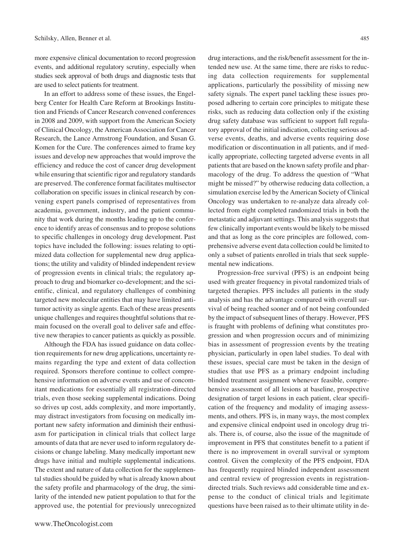more expensive clinical documentation to record progression events, and additional regulatory scrutiny, especially when studies seek approval of both drugs and diagnostic tests that are used to select patients for treatment.

In an effort to address some of these issues, the Engelberg Center for Health Care Reform at Brookings Institution and Friends of Cancer Research convened conferences in 2008 and 2009, with support from the American Society of Clinical Oncology, the American Association for Cancer Research, the Lance Armstrong Foundation, and Susan G. Komen for the Cure. The conferences aimed to frame key issues and develop new approaches that would improve the efficiency and reduce the cost of cancer drug development while ensuring that scientific rigor and regulatory standards are preserved. The conference format facilitates multisector collaboration on specific issues in clinical research by convening expert panels comprised of representatives from academia, government, industry, and the patient community that work during the months leading up to the conference to identify areas of consensus and to propose solutions to specific challenges in oncology drug development. Past topics have included the following: issues relating to optimized data collection for supplemental new drug applications; the utility and validity of blinded independent review of progression events in clinical trials; the regulatory approach to drug and biomarker co-development; and the scientific, clinical, and regulatory challenges of combining targeted new molecular entities that may have limited antitumor activity as single agents. Each of these areas presents unique challenges and requires thoughtful solutions that remain focused on the overall goal to deliver safe and effective new therapies to cancer patients as quickly as possible.

Although the FDA has issued guidance on data collection requirements for new drug applications, uncertainty remains regarding the type and extent of data collection required. Sponsors therefore continue to collect comprehensive information on adverse events and use of concomitant medications for essentially all registration-directed trials, even those seeking supplemental indications. Doing so drives up cost, adds complexity, and more importantly, may distract investigators from focusing on medically important new safety information and diminish their enthusiasm for participation in clinical trials that collect large amounts of data that are never used to inform regulatory decisions or change labeling. Many medically important new drugs have initial and multiple supplemental indications. The extent and nature of data collection for the supplemental studies should be guided by what is already known about the safety profile and pharmacology of the drug, the similarity of the intended new patient population to that for the approved use, the potential for previously unrecognized drug interactions, and the risk/benefit assessment for the intended new use. At the same time, there are risks to reducing data collection requirements for supplemental applications, particularly the possibility of missing new safety signals. The expert panel tackling these issues proposed adhering to certain core principles to mitigate these risks, such as reducing data collection only if the existing drug safety database was sufficient to support full regulatory approval of the initial indication, collecting serious adverse events, deaths, and adverse events requiring dose modification or discontinuation in all patients, and if medically appropriate, collecting targeted adverse events in all patients that are based on the known safety profile and pharmacology of the drug. To address the question of "What might be missed?" by otherwise reducing data collection, a simulation exercise led by the American Society of Clinical Oncology was undertaken to re-analyze data already collected from eight completed randomized trials in both the metastatic and adjuvant settings. This analysis suggests that few clinically important events would be likely to be missed and that as long as the core principles are followed, comprehensive adverse event data collection could be limited to only a subset of patients enrolled in trials that seek supplemental new indications.

Progression-free survival (PFS) is an endpoint being used with greater frequency in pivotal randomized trials of targeted therapies. PFS includes all patients in the study analysis and has the advantage compared with overall survival of being reached sooner and of not being confounded by the impact of subsequent lines of therapy. However, PFS is fraught with problems of defining what constitutes progression and when progression occurs and of minimizing bias in assessment of progression events by the treating physician, particularly in open label studies. To deal with these issues, special care must be taken in the design of studies that use PFS as a primary endpoint including blinded treatment assignment whenever feasible, comprehensive assessment of all lesions at baseline, prospective designation of target lesions in each patient, clear specification of the frequency and modality of imaging assessments, and others. PFS is, in many ways, the most complex and expensive clinical endpoint used in oncology drug trials. There is, of course, also the issue of the magnitude of improvement in PFS that constitutes benefit to a patient if there is no improvement in overall survival or symptom control. Given the complexity of the PFS endpoint, FDA has frequently required blinded independent assessment and central review of progression events in registrationdirected trials. Such reviews add considerable time and expense to the conduct of clinical trials and legitimate questions have been raised as to their ultimate utility in de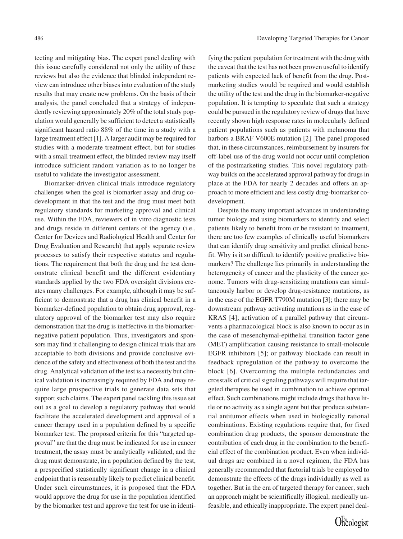tecting and mitigating bias. The expert panel dealing with this issue carefully considered not only the utility of these reviews but also the evidence that blinded independent review can introduce other biases into evaluation of the study results that may create new problems. On the basis of their analysis, the panel concluded that a strategy of independently reviewing approximately 20% of the total study population would generally be sufficient to detect a statistically significant hazard ratio 88% of the time in a study with a large treatment effect [1]. A larger audit may be required for studies with a moderate treatment effect, but for studies with a small treatment effect, the blinded review may itself introduce sufficient random variation as to no longer be useful to validate the investigator assessment.

Biomarker-driven clinical trials introduce regulatory challenges when the goal is biomarker assay and drug codevelopment in that the test and the drug must meet both regulatory standards for marketing approval and clinical use. Within the FDA, reviewers of in vitro diagnostic tests and drugs reside in different centers of the agency (i.e., Center for Devices and Radiological Health and Center for Drug Evaluation and Research) that apply separate review processes to satisfy their respective statutes and regulations. The requirement that both the drug and the test demonstrate clinical benefit and the different evidentiary standards applied by the two FDA oversight divisions creates many challenges. For example, although it may be sufficient to demonstrate that a drug has clinical benefit in a biomarker-defined population to obtain drug approval, regulatory approval of the biomarker test may also require demonstration that the drug is ineffective in the biomarkernegative patient population. Thus, investigators and sponsors may find it challenging to design clinical trials that are acceptable to both divisions and provide conclusive evidence of the safety and effectiveness of both the test and the drug. Analytical validation of the test is a necessity but clinical validation is increasingly required by FDA and may require large prospective trials to generate data sets that support such claims. The expert panel tackling this issue set out as a goal to develop a regulatory pathway that would facilitate the accelerated development and approval of a cancer therapy used in a population defined by a specific biomarker test. The proposed criteria for this "targeted approval" are that the drug must be indicated for use in cancer treatment, the assay must be analytically validated, and the drug must demonstrate, in a population defined by the test, a prespecified statistically significant change in a clinical endpoint that is reasonably likely to predict clinical benefit. Under such circumstances, it is proposed that the FDA would approve the drug for use in the population identified by the biomarker test and approve the test for use in identi-

fying the patient population for treatment with the drug with the caveat that the test has not been proven useful to identify patients with expected lack of benefit from the drug. Postmarketing studies would be required and would establish the utility of the test and the drug in the biomarker-negative population. It is tempting to speculate that such a strategy could be pursued in the regulatory review of drugs that have recently shown high response rates in molecularly defined patient populations such as patients with melanoma that harbors a BRAF V600E mutation [2]. The panel proposed that, in these circumstances, reimbursement by insurers for off-label use of the drug would not occur until completion of the postmarketing studies. This novel regulatory pathway builds on the accelerated approval pathway for drugs in place at the FDA for nearly 2 decades and offers an approach to more efficient and less costly drug-biomarker codevelopment.

Despite the many important advances in understanding tumor biology and using biomarkers to identify and select patients likely to benefit from or be resistant to treatment, there are too few examples of clinically useful biomarkers that can identify drug sensitivity and predict clinical benefit. Why is it so difficult to identify positive predictive biomarkers? The challenge lies primarily in understanding the heterogeneity of cancer and the plasticity of the cancer genome. Tumors with drug-sensitizing mutations can simultaneously harbor or develop drug-resistance mutations, as in the case of the EGFR T790M mutation [3]; there may be downstream pathway activating mutations as in the case of KRAS [4]; activation of a parallel pathway that circumvents a pharmacological block is also known to occur as in the case of mesenchymal-epithelial transition factor gene (MET) amplification causing resistance to small-molecule EGFR inhibitors [5]; or pathway blockade can result in feedback upregulation of the pathway to overcome the block [6]. Overcoming the multiple redundancies and crosstalk of critical signaling pathways will require that targeted therapies be used in combination to achieve optimal effect. Such combinations might include drugs that have little or no activity as a single agent but that produce substantial antitumor effects when used in biologically rational combinations. Existing regulations require that, for fixed combination drug products, the sponsor demonstrate the contribution of each drug in the combination to the beneficial effect of the combination product. Even when individual drugs are combined in a novel regimen, the FDA has generally recommended that factorial trials be employed to demonstrate the effects of the drugs individually as well as together. But in the era of targeted therapy for cancer, such an approach might be scientifically illogical, medically unfeasible, and ethically inappropriate. The expert panel deal